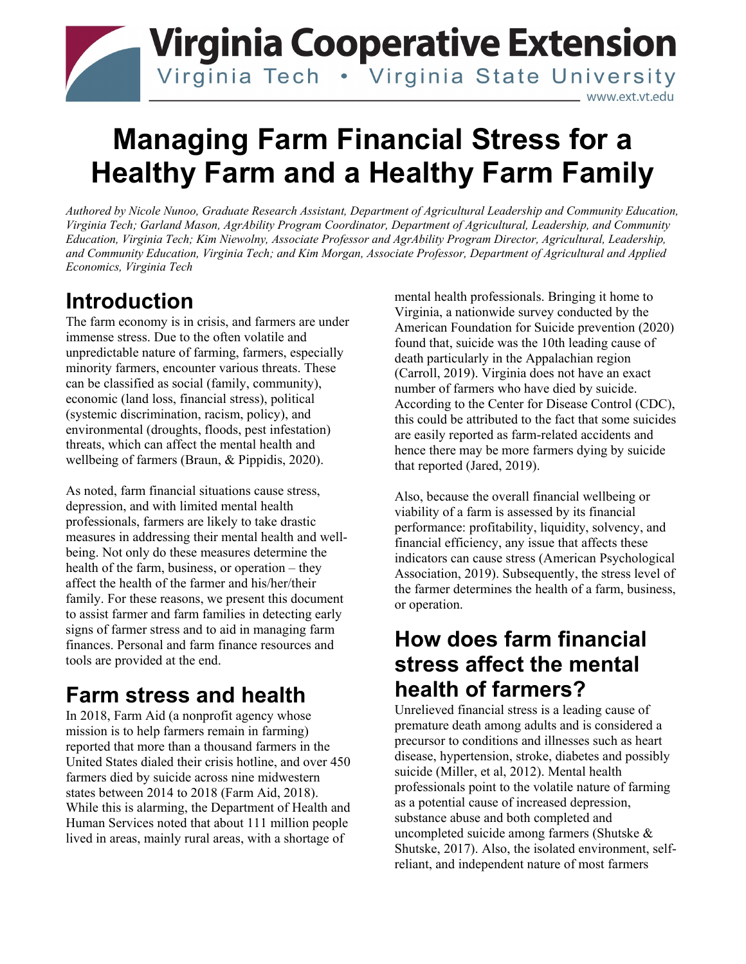## **Virginia Cooperative Extension** Virginia Tech . Virginia State University www.ext.vt.edu

# **Managing Farm Financial Stress for a Healthy Farm and a Healthy Farm Family**

*Authored by Nicole Nunoo, Graduate Research Assistant, Department of Agricultural Leadership and Community Education, Virginia Tech; Garland Mason, AgrAbility Program Coordinator, Department of Agricultural, Leadership, and Community Education, Virginia Tech; Kim Niewolny, Associate Professor and AgrAbility Program Director, Agricultural, Leadership, and Community Education, Virginia Tech; and Kim Morgan, Associate Professor, Department of Agricultural and Applied Economics, Virginia Tech*

## **Introduction**

The farm economy is in crisis, and farmers are under immense stress. Due to the often volatile and unpredictable nature of farming, farmers, especially minority farmers, encounter various threats. These can be classified as social (family, community), economic (land loss, financial stress), political (systemic discrimination, racism, policy), and environmental (droughts, floods, pest infestation) threats, which can affect the mental health and wellbeing of farmers (Braun, & Pippidis, 2020).

As noted, farm financial situations cause stress, depression, and with limited mental health professionals, farmers are likely to take drastic measures in addressing their mental health and wellbeing. Not only do these measures determine the health of the farm, business, or operation – they affect the health of the farmer and his/her/their family. For these reasons, we present this document to assist farmer and farm families in detecting early signs of farmer stress and to aid in managing farm finances. Personal and farm finance resources and tools are provided at the end.

## **Farm stress and health**

In 2018, Farm Aid (a nonprofit agency whose mission is to help farmers remain in farming) reported that more than a thousand farmers in the United States dialed their crisis hotline, and over 450 farmers died by suicide across nine midwestern states between 2014 to 2018 (Farm Aid, 2018). While this is alarming, the Department of Health and Human Services noted that about 111 million people lived in areas, mainly rural areas, with a shortage of

mental health professionals. Bringing it home to Virginia, a nationwide survey conducted by the American Foundation for Suicide prevention (2020) found that, suicide was the 10th leading cause of death particularly in the Appalachian region (Carroll, 2019). Virginia does not have an exact number of farmers who have died by suicide. According to the Center for Disease Control (CDC), this could be attributed to the fact that some suicides are easily reported as farm-related accidents and hence there may be more farmers dying by suicide that reported (Jared, 2019).

Also, because the overall financial wellbeing or viability of a farm is assessed by its financial performance: profitability, liquidity, solvency, and financial efficiency, any issue that affects these indicators can cause stress (American Psychological Association, 2019). Subsequently, the stress level of the farmer determines the health of a farm, business, or operation.

## **How does farm financial stress affect the mental health of farmers?**

Unrelieved financial stress is a leading cause of premature death among adults and is considered a precursor to conditions and illnesses such as heart disease, hypertension, stroke, diabetes and possibly suicide (Miller, et al, 2012). Mental health professionals point to the volatile nature of farming as a potential cause of increased depression, substance abuse and both completed and uncompleted suicide among farmers (Shutske & Shutske, 2017). Also, the isolated environment, selfreliant, and independent nature of most farmers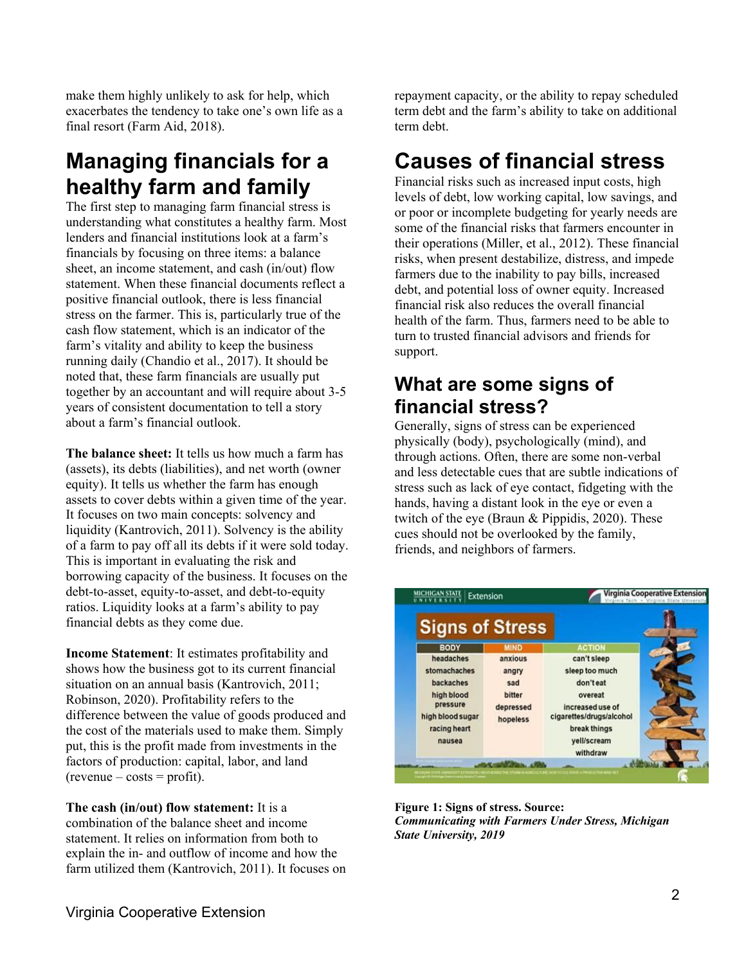make them highly unlikely to ask for help, which exacerbates the tendency to take one's own life as a final resort (Farm Aid, 2018).

## **Managing financials for a healthy farm and family**

The first step to managing farm financial stress is understanding what constitutes a healthy farm. Most lenders and financial institutions look at a farm's financials by focusing on three items: a balance sheet, an income statement, and cash (in/out) flow statement. When these financial documents reflect a positive financial outlook, there is less financial stress on the farmer. This is, particularly true of the cash flow statement, which is an indicator of the farm's vitality and ability to keep the business running daily (Chandio et al., 2017). It should be noted that, these farm financials are usually put together by an accountant and will require about 3-5 years of consistent documentation to tell a story about a farm's financial outlook.

**The balance sheet:** It tells us how much a farm has (assets), its debts (liabilities), and net worth (owner equity). It tells us whether the farm has enough assets to cover debts within a given time of the year. It focuses on two main concepts: solvency and liquidity (Kantrovich, 2011). Solvency is the ability of a farm to pay off all its debts if it were sold today. This is important in evaluating the risk and borrowing capacity of the business. It focuses on the debt-to-asset, equity-to-asset, and debt-to-equity ratios. Liquidity looks at a farm's ability to pay financial debts as they come due.

**Income Statement**: It estimates profitability and shows how the business got to its current financial situation on an annual basis (Kantrovich, 2011; Robinson, 2020). Profitability refers to the difference between the value of goods produced and the cost of the materials used to make them. Simply put, this is the profit made from investments in the factors of production: capital, labor, and land  $(revenue - costs = profit).$ 

**The cash (in/out) flow statement:** It is a combination of the balance sheet and income statement. It relies on information from both to explain the in- and outflow of income and how the farm utilized them (Kantrovich, 2011). It focuses on repayment capacity, or the ability to repay scheduled term debt and the farm's ability to take on additional term debt.

## **Causes of financial stress**

Financial risks such as increased input costs, high levels of debt, low working capital, low savings, and or poor or incomplete budgeting for yearly needs are some of the financial risks that farmers encounter in their operations (Miller, et al., 2012). These financial risks, when present destabilize, distress, and impede farmers due to the inability to pay bills, increased debt, and potential loss of owner equity. Increased financial risk also reduces the overall financial health of the farm. Thus, farmers need to be able to turn to trusted financial advisors and friends for support.

### **What are some signs of financial stress?**

Generally, signs of stress can be experienced physically (body), psychologically (mind), and through actions. Often, there are some non-verbal and less detectable cues that are subtle indications of stress such as lack of eye contact, fidgeting with the hands, having a distant look in the eye or even a twitch of the eye (Braun & Pippidis, 2020). These cues should not be overlooked by the family, friends, and neighbors of farmers.



**Figure 1: Signs of stress. Source:** *Communicating with Farmers Under Stress, Michigan State University, 2019*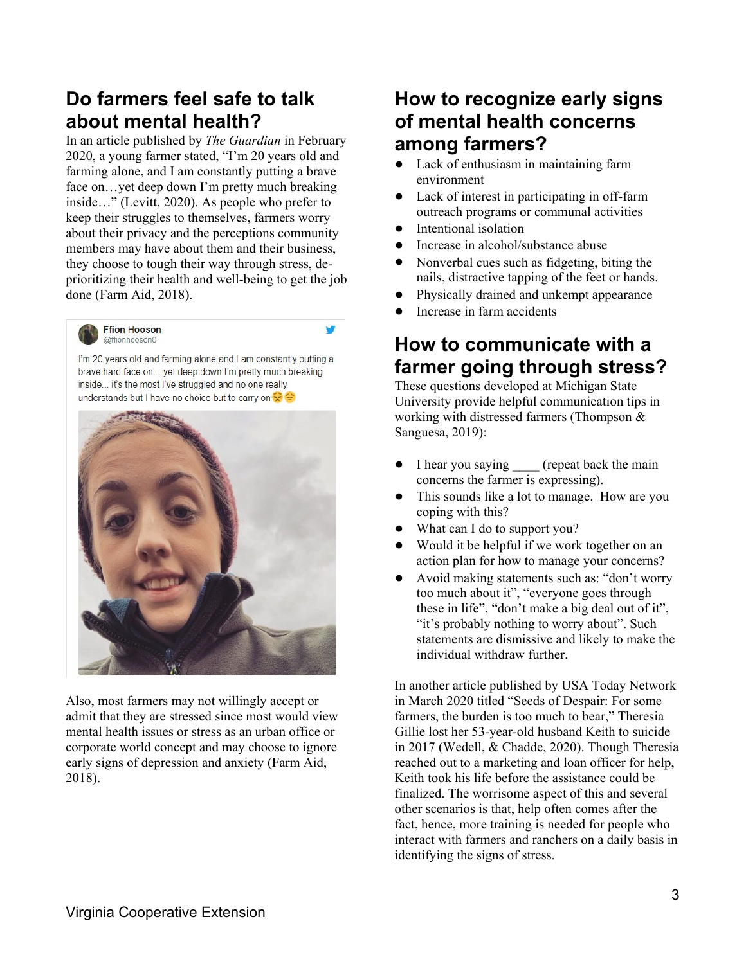### **Do farmers feel safe to talk about mental health?**

In an article published by *The Guardian* in February 2020, a young farmer stated, "I'm 20 years old and farming alone, and I am constantly putting a brave face on…yet deep down I'm pretty much breaking inside…" (Levitt, 2020). As people who prefer to keep their struggles to themselves, farmers worry about their privacy and the perceptions community members may have about them and their business, they choose to tough their way through stress, deprioritizing their health and well-being to get the job done (Farm Aid, 2018).



@ffionhooson0

I'm 20 years old and farming alone and I am constantly putting a brave hard face on... yet deep down I'm pretty much breaking inside... it's the most I've struggled and no one really understands but I have no choice but to carry on

w



Also, most farmers may not willingly accept or admit that they are stressed since most would view mental health issues or stress as an urban office or corporate world concept and may choose to ignore early signs of depression and anxiety (Farm Aid, 2018).

### **How to recognize early signs of mental health concerns among farmers?**

- Lack of enthusiasm in maintaining farm environment
- Lack of interest in participating in off-farm outreach programs or communal activities
- Intentional isolation
- Increase in alcohol/substance abuse
- Nonverbal cues such as fidgeting, biting the nails, distractive tapping of the feet or hands.
- Physically drained and unkempt appearance
- Increase in farm accidents

### **How to communicate with a farmer going through stress?**

These questions developed at Michigan State University provide helpful communication tips in working with distressed farmers (Thompson & Sanguesa, 2019):

- I hear you saying (repeat back the main concerns the farmer is expressing).
- This sounds like a lot to manage. How are you coping with this?
- What can I do to support you?
- Would it be helpful if we work together on an action plan for how to manage your concerns?
- Avoid making statements such as: "don't worry too much about it", "everyone goes through these in life", "don't make a big deal out of it", "it's probably nothing to worry about". Such statements are dismissive and likely to make the individual withdraw further.

In another article published by USA Today Network in March 2020 titled "Seeds of Despair: For some farmers, the burden is too much to bear," Theresia Gillie lost her 53-year-old husband Keith to suicide in 2017 (Wedell, & Chadde, 2020). Though Theresia reached out to a marketing and loan officer for help, Keith took his life before the assistance could be finalized. The worrisome aspect of this and several other scenarios is that, help often comes after the fact, hence, more training is needed for people who interact with farmers and ranchers on a daily basis in identifying the signs of stress.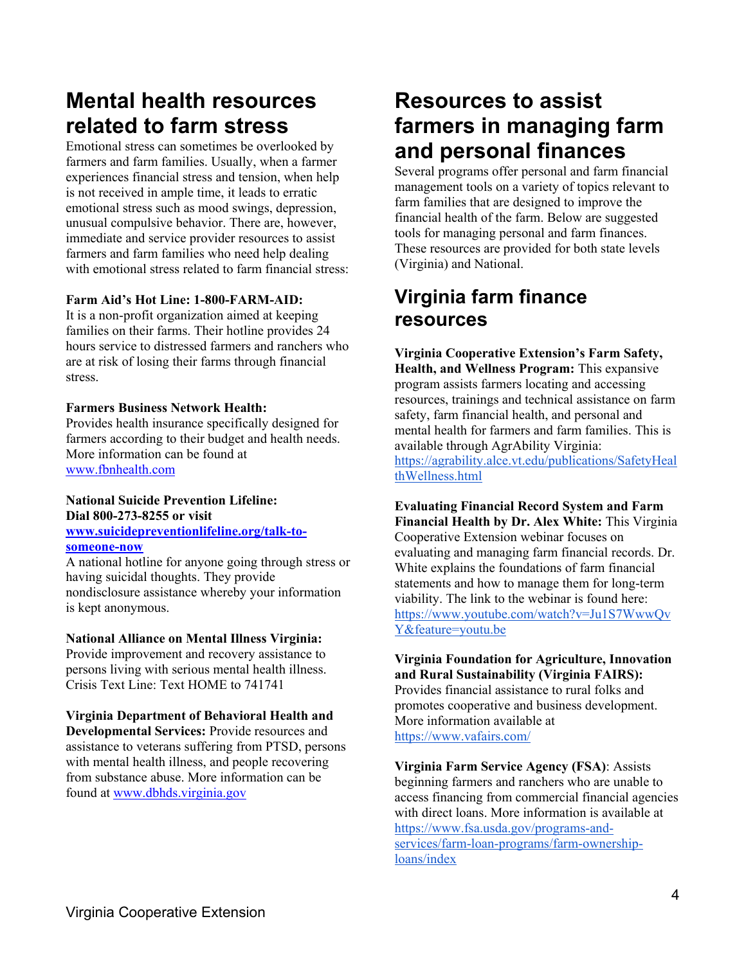## **Mental health resources related to farm stress**

Emotional stress can sometimes be overlooked by farmers and farm families. Usually, when a farmer experiences financial stress and tension, when help is not received in ample time, it leads to erratic emotional stress such as mood swings, depression, unusual compulsive behavior. There are, however, immediate and service provider resources to assist farmers and farm families who need help dealing with emotional stress related to farm financial stress:

#### **Farm Aid's Hot Line: 1-800-FARM-AID:**

It is a non-profit organization aimed at keeping families on their farms. Their hotline provides 24 hours service to distressed farmers and ranchers who are at risk of losing their farms through financial stress.

#### **Farmers Business Network Health:**

Provides health insurance specifically designed for farmers according to their budget and health needs. More information can be found at [www.fbnhealth.com](http://www.fbnhealth.com/)

#### **National Suicide Prevention Lifeline: Dial 800-273-8255 or visit**

#### **[www.suicidepreventionlifeline.org/talk-to](http://www.suicidepreventionlifeline.org/talk-to-someone-now)[someone-now](http://www.suicidepreventionlifeline.org/talk-to-someone-now)**

A national hotline for anyone going through stress or having suicidal thoughts. They provide nondisclosure assistance whereby your information is kept anonymous.

#### **National Alliance on Mental Illness Virginia:**

Provide improvement and recovery assistance to persons living with serious mental health illness. Crisis Text Line: Text HOME to 741741

#### **Virginia Department of Behavioral Health and**

**Developmental Services:** Provide resources and assistance to veterans suffering from PTSD, persons with mental health illness, and people recovering from substance abuse. More information can be found at [www.dbhds.virginia.gov](http://www.dbhds.virginia.gov/)

## **Resources to assist farmers in managing farm and personal finances**

Several programs offer personal and farm financial management tools on a variety of topics relevant to farm families that are designed to improve the financial health of the farm. Below are suggested tools for managing personal and farm finances. These resources are provided for both state levels (Virginia) and National.

### **Virginia farm finance resources**

**Virginia Cooperative Extension's Farm Safety, Health, and Wellness Program:** This expansive program assists farmers locating and accessing resources, trainings and technical assistance on farm safety, farm financial health, and personal and mental health for farmers and farm families. This is available through AgrAbility Virginia[:](https://agrability.alce.vt.edu/publications/SafetyHealthWellness.html) [https://agrability.alce.vt.edu/publications/SafetyHeal](https://agrability.alce.vt.edu/publications/SafetyHealthWellness.html) [thWellness.html](https://agrability.alce.vt.edu/publications/SafetyHealthWellness.html)

**Evaluating Financial Record System and Farm Financial Health by Dr. Alex White:** This Virginia Cooperative Extension webinar focuses on evaluating and managing farm financial records. Dr. White explains the foundations of farm financial statements and how to manage them for long-term viability. The link to the webinar is found here[:](https://www.youtube.com/watch?v=Ju1S7WwwQvY&feature=youtu.be) [https://www.youtube.com/watch?v=Ju1S7WwwQv](https://www.youtube.com/watch?v=Ju1S7WwwQvY&feature=youtu.be) [Y&feature=youtu.be](https://www.youtube.com/watch?v=Ju1S7WwwQvY&feature=youtu.be)

**Virginia Foundation for Agriculture, Innovation and Rural Sustainability (Virginia FAIRS):** Provides financial assistance to rural folks and promotes cooperative and business development. More information available a[t](https://www.vafairs.com/) <https://www.vafairs.com/>

**Virginia Farm Service Agency (FSA)**: Assists beginning farmers and ranchers who are unable to access financing from commercial financial agencies with direct loans. More information is available a[t](https://www.fsa.usda.gov/programs-and-services/farm-loan-programs/farm-ownership-loans/index) [https://www.fsa.usda.gov/programs-and](https://www.fsa.usda.gov/programs-and-services/farm-loan-programs/farm-ownership-loans/index)[services/farm-loan-programs/farm-ownership](https://www.fsa.usda.gov/programs-and-services/farm-loan-programs/farm-ownership-loans/index)[loans/index](https://www.fsa.usda.gov/programs-and-services/farm-loan-programs/farm-ownership-loans/index)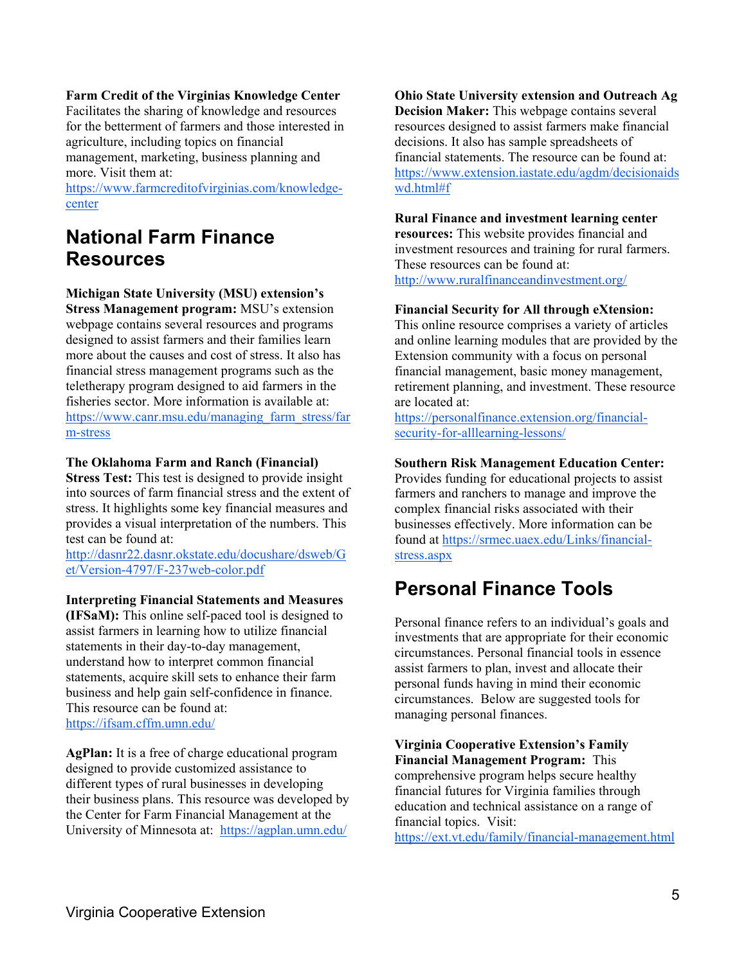#### **Farm Credit of the Virginias Knowledge Center**

Facilitates the sharing of knowledge and resources for the betterment of farmers and those interested in agriculture, including topics on financial management, marketing, business planning and more. Visit them at[:](https://www.farmcreditofvirginias.com/knowledge-center)

[https://www.farmcreditofvirginias.com/knowledge](https://www.farmcreditofvirginias.com/knowledge-center)[center](https://www.farmcreditofvirginias.com/knowledge-center)

### **National Farm Finance Resources**

#### **Michigan State University (MSU) extension's**

**Stress Management program:** MSU's extension webpage contains several resources and programs designed to assist farmers and their families learn more about the causes and cost of stress. It also has financial stress management programs such as the teletherapy program designed to aid farmers in the fisheries sector. More information is available at: [https://www.canr.msu.edu/managing\\_farm\\_stress/far](https://www.canr.msu.edu/managing_farm_stress/farm-stress) [m-stress](https://www.canr.msu.edu/managing_farm_stress/farm-stress)

#### **The Oklahoma Farm and Ranch (Financial)**

**Stress Test:** This test is designed to provide insight into sources of farm financial stress and the extent of stress. It highlights some key financial measures and provides a visual interpretation of the numbers. This test can be found at[:](http://dasnr22.dasnr.okstate.edu/docushare/dsweb/Get/Version-4797/F-237web-color.pdf)

[http://dasnr22.dasnr.okstate.edu/docushare/dsweb/G](http://dasnr22.dasnr.okstate.edu/docushare/dsweb/Get/Version-4797/F-237web-color.pdf) [et/Version-4797/F-237web-color.pdf](http://dasnr22.dasnr.okstate.edu/docushare/dsweb/Get/Version-4797/F-237web-color.pdf) 

#### **Interpreting Financial Statements and Measures**

**(IFSaM):** This online self-paced tool is designed to assist farmers in learning how to utilize financial statements in their day-to-day management, understand how to interpret common financial statements, acquire skill sets to enhance their farm business and help gain self-confidence in finance. This resource can be found at[:](https://ifsam.cffm.umn.edu/) <https://ifsam.cffm.umn.edu/>

**AgPlan:** It is a free of charge educational program designed to provide customized assistance to different types of rural businesses in developing their business plans. This resource was developed by the Center for Farm Financial Management at the University of Minnesota at: <https://agplan.umn.edu/>

**Ohio State University extension and Outreach Ag Decision Maker:** This webpage contains several resources designed to assist farmers make financial decisions. It also has sample spreadsheets of financial statements. The resource can be found at: [https://www.extension.iastate.edu/agdm/decisionaids](https://www.extension.iastate.edu/agdm/decisionaidswd.html#f) [wd.html#f](https://www.extension.iastate.edu/agdm/decisionaidswd.html#f)

#### **Rural Finance and investment learning center**

**resources:** This website provides financial and investment resources and training for rural farmers. These resources can be found at[:](http://www.ruralfinanceandinvestment.org/) <http://www.ruralfinanceandinvestment.org/>

#### **Financial Security for All through eXtension:**

This online resource comprises a variety of articles and online learning modules that are provided by the Extension community with a focus on personal financial management, basic money management, retirement planning, and investment. These resource are located at[:](https://personalfinance.extension.org/financial-security-for-alllearning-lessons/)

[https://personalfinance.extension.org/financial](https://personalfinance.extension.org/financial-security-for-alllearning-lessons/)[security-for-alllearning-lessons/](https://personalfinance.extension.org/financial-security-for-alllearning-lessons/)

#### **Southern Risk Management Education Center:**

Provides funding for educational projects to assist farmers and ranchers to manage and improve the complex financial risks associated with their businesses effectively. More information can be found a[t](https://srmec.uaex.edu/Links/financial-stress.aspx) [https://srmec.uaex.edu/Links/financial](https://srmec.uaex.edu/Links/financial-stress.aspx)[stress.aspx](https://srmec.uaex.edu/Links/financial-stress.aspx)

### **Personal Finance Tools**

Personal finance refers to an individual's goals and investments that are appropriate for their economic circumstances. Personal financial tools in essence assist farmers to plan, invest and allocate their personal funds having in mind their economic circumstances. Below are suggested tools for managing personal finances.

**Virginia Cooperative Extension's Family Financial Management Program:** This comprehensive program helps secure healthy financial futures for Virginia families through education and technical assistance on a range of financial topics. Visit[:](https://ext.vt.edu/family/financial-management.html)

<https://ext.vt.edu/family/financial-management.html>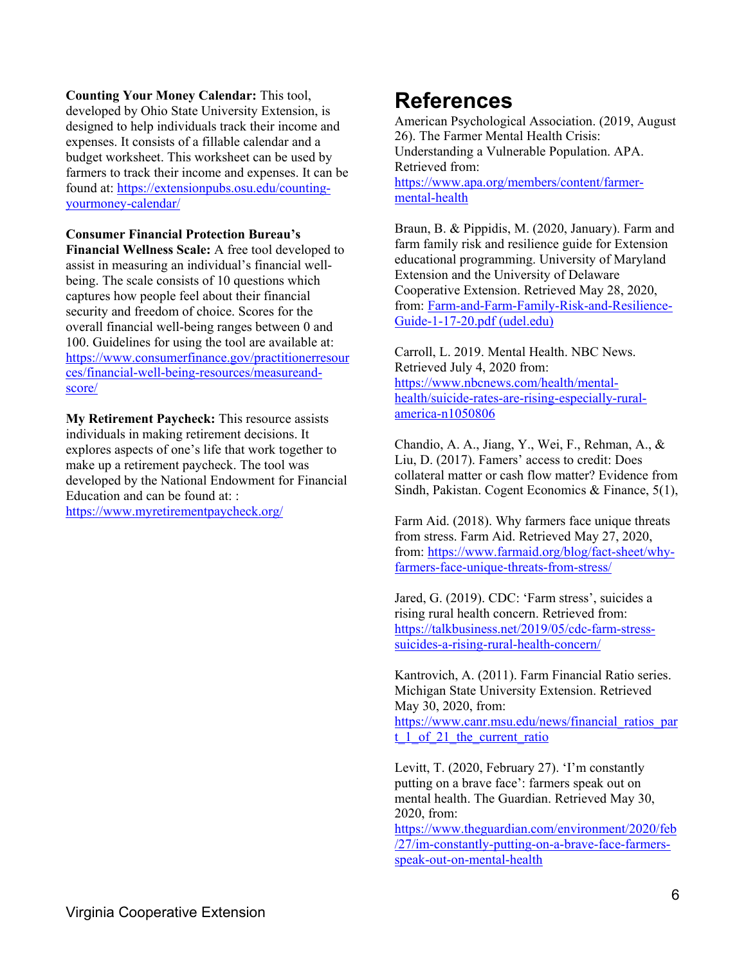**Counting Your Money Calendar:** This tool, developed by Ohio State University Extension, is designed to help individuals track their income and expenses. It consists of a fillable calendar and a budget worksheet. This worksheet can be used by farmers to track their income and expenses. It can be found at: [https://extensionpubs.osu.edu/counting](https://extensionpubs.osu.edu/counting-yourmoney-calendar/)[yourmoney-calendar/](https://extensionpubs.osu.edu/counting-yourmoney-calendar/)

**Consumer Financial Protection Bureau's** 

**Financial Wellness Scale:** A free tool developed to assist in measuring an individual's financial wellbeing. The scale consists of 10 questions which captures how people feel about their financial security and freedom of choice. Scores for the overall financial well-being ranges between 0 and 100. Guidelines for using the tool are available at: [https://www.consumerfinance.gov/practitionerresour](https://www.consumerfinance.gov/practitionerresources/financial-well-being-resources/measureand-score/) [ces/financial-well-being-resources/measureand](https://www.consumerfinance.gov/practitionerresources/financial-well-being-resources/measureand-score/)[score/](https://www.consumerfinance.gov/practitionerresources/financial-well-being-resources/measureand-score/) 

**My Retirement Paycheck:** This resource assists individuals in making retirement decisions. It explores aspects of one's life that work together to make up a retirement paycheck. The tool was developed by the National Endowment for Financial Education and can be found at: : <https://www.myretirementpaycheck.org/>

### **References**

American Psychological Association. (2019, August 26). The Farmer Mental Health Crisis: Understanding a Vulnerable Population. APA. Retrieved from: [https://www.apa.org/members/content/farmer](https://www.apa.org/members/content/farmer-mental-health)[mental-health](https://www.apa.org/members/content/farmer-mental-health)

Braun, B. & Pippidis, M. (2020, January). Farm and farm family risk and resilience guide for Extension educational programming. University of Maryland Extension and the University of Delaware Cooperative Extension. Retrieved May 28, 2020, from: [Farm-and-Farm-Family-Risk-and-Resilience-](https://www.udel.edu/content/dam/udelImages/canr/pdfs/extension/economic-personal-development/Farm-and-Farm-Family-Risk-and-Resilience-Guide-1-17-20.pdf)[Guide-1-17-20.pdf \(udel.edu\)](https://www.udel.edu/content/dam/udelImages/canr/pdfs/extension/economic-personal-development/Farm-and-Farm-Family-Risk-and-Resilience-Guide-1-17-20.pdf)

Carroll, L. 2019. Mental Health. NBC News. Retrieved July 4, 2020 from: [https://www.nbcnews.com/health/mental](https://www.nbcnews.com/health/mental-health/suicide-rates-are-rising-especially-rural-america-n1050806)[health/suicide-rates-are-rising-especially-rural](https://www.nbcnews.com/health/mental-health/suicide-rates-are-rising-especially-rural-america-n1050806)[america-n1050806](https://www.nbcnews.com/health/mental-health/suicide-rates-are-rising-especially-rural-america-n1050806) 

Chandio, A. A., Jiang, Y., Wei, F., Rehman, A., & Liu, D. (2017). Famers' access to credit: Does collateral matter or cash flow matter? Evidence from Sindh, Pakistan. Cogent Economics & Finance, 5(1),

Farm Aid. (2018). Why farmers face unique threats from stress. Farm Aid. Retrieved May 27, 2020, from: [https://www.farmaid.org/blog/fact-sheet/why](https://www.farmaid.org/blog/fact-sheet/why-farmers-face-unique-threats-from-stress/)[farmers-face-unique-threats-from-stress/](https://www.farmaid.org/blog/fact-sheet/why-farmers-face-unique-threats-from-stress/)

Jared, G. (2019). CDC: 'Farm stress', suicides a rising rural health concern. Retrieved from: [https://talkbusiness.net/2019/05/cdc-farm-stress](https://talkbusiness.net/2019/05/cdc-farm-stress-suicides-a-rising-rural-health-concern/)[suicides-a-rising-rural-health-concern/](https://talkbusiness.net/2019/05/cdc-farm-stress-suicides-a-rising-rural-health-concern/)

Kantrovich, A. (2011). Farm Financial Ratio series. Michigan State University Extension. Retrieved May 30, 2020, from: [https://www.canr.msu.edu/news/financial\\_ratios\\_par](https://www.canr.msu.edu/news/financial_ratios_part_1_of_21_the_current_ratio) t 1 of 21 the current ratio

Levitt, T. (2020, February 27). 'I'm constantly putting on a brave face': farmers speak out on mental health. The Guardian. Retrieved May 30, 2020, from:

[https://www.theguardian.com/environment/2020/feb](https://www.theguardian.com/environment/2020/feb/27/im-constantly-putting-on-a-brave-face-farmers-speak-out-on-mental-health) [/27/im-constantly-putting-on-a-brave-face-farmers](https://www.theguardian.com/environment/2020/feb/27/im-constantly-putting-on-a-brave-face-farmers-speak-out-on-mental-health)[speak-out-on-mental-health](https://www.theguardian.com/environment/2020/feb/27/im-constantly-putting-on-a-brave-face-farmers-speak-out-on-mental-health)